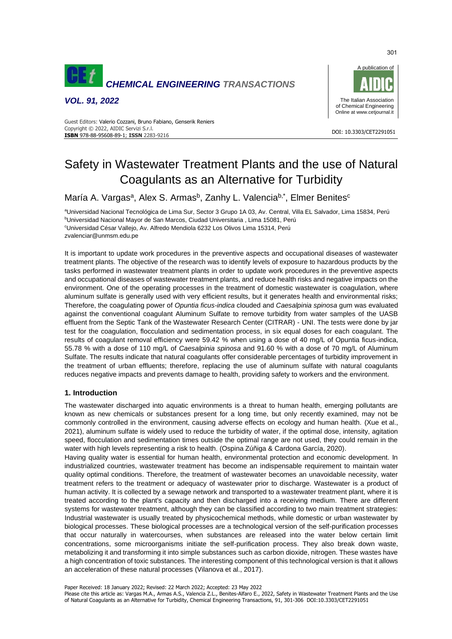

*VOL. 91, 2022*



#### DOI: 10.3303/CET2291051 **ISBN** 978-88-95608-89-1; **ISSN** 2283-9216 Guest Editors: Valerio Cozzani, Bruno Fabiano, Genserik Reniers Copyright © 2022, AIDIC Servizi S.r.l.

# Safety in Wastewater Treatment Plants and the use of Natural Coagulants as an Alternative for Turbidity

María A. Vargas<sup>a</sup>, Alex S. Armas<sup>b</sup>, Zanhy L. Valencia<sup>b,\*</sup>, Elmer Benites<sup>c</sup>

aUniversidad Nacional Tecnológica de Lima Sur, Sector 3 Grupo 1A 03, Av. Central, Villa EL Salvador, Lima 15834, Perú <sup>b</sup>Universidad Nacional Mayor de San Marcos, Ciudad Universitaria , Lima 15081, Perú <sup>c</sup>Universidad César Vallejo, Av. Alfredo Mendiola 6232 Los Olivos Lima 15314, Perú zvalenciar@unmsm.edu.pe

It is important to update work procedures in the preventive aspects and occupational diseases of wastewater treatment plants. The objective of the research was to identify levels of exposure to hazardous products by the tasks performed in wastewater treatment plants in order to update work procedures in the preventive aspects and occupational diseases of wastewater treatment plants, and reduce health risks and negative impacts on the environment. One of the operating processes in the treatment of domestic wastewater is coagulation, where aluminum sulfate is generally used with very efficient results, but it generates health and environmental risks; Therefore, the coagulating power of *Opuntia ficus-indica* clouded and *Caesalpinia spinosa* gum was evaluated against the conventional coagulant Aluminum Sulfate to remove turbidity from water samples of the UASB effluent from the Septic Tank of the Wastewater Research Center (CITRAR) - UNI. The tests were done by jar test for the coagulation, flocculation and sedimentation process, in six equal doses for each coagulant. The results of coagulant removal efficiency were 59.42 % when using a dose of 40 mg/L of Opuntia ficus-indica, 55.78 % with a dose of 110 mg/L of *Caesalpinia spinosa* and 91.60 % with a dose of 70 mg/L of Aluminum Sulfate. The results indicate that natural coagulants offer considerable percentages of turbidity improvement in the treatment of urban effluents; therefore, replacing the use of aluminum sulfate with natural coagulants reduces negative impacts and prevents damage to health, providing safety to workers and the environment.

## **1. Introduction**

The wastewater discharged into aquatic environments is a threat to human health, emerging pollutants are known as new chemicals or substances present for a long time, but only recently examined, may not be commonly controlled in the environment, causing adverse effects on ecology and human health. (Xue et al., 2021), aluminum sulfate is widely used to reduce the turbidity of water, if the optimal dose, intensity, agitation speed, flocculation and sedimentation times outside the optimal range are not used, they could remain in the water with high levels representing a risk to health. (Ospina Zúñiga & Cardona García, 2020).

Having quality water is essential for human health, environmental protection and economic development. In industrialized countries, wastewater treatment has become an indispensable requirement to maintain water quality optimal conditions. Therefore, the treatment of wastewater becomes an unavoidable necessity, water treatment refers to the treatment or adequacy of wastewater prior to discharge. Wastewater is a product of human activity. It is collected by a sewage network and transported to a wastewater treatment plant, where it is treated according to the plant's capacity and then discharged into a receiving medium. There are different systems for wastewater treatment, although they can be classified according to two main treatment strategies: Industrial wastewater is usually treated by physicochemical methods, while domestic or urban wastewater by biological processes. These biological processes are a technological version of the self-purification processes that occur naturally in watercourses, when substances are released into the water below certain limit concentrations, some microorganisms initiate the self-purification process. They also break down waste, metabolizing it and transforming it into simple substances such as carbon dioxide, nitrogen. These wastes have a high concentration of toxic substances. The interesting component of this technological version is that it allows an acceleration of these natural processes (Vilanova et al., 2017).

Paper Received: 18 January 2022; Revised: 22 March 2022; Accepted: 23 May 2022

Please cite this article as: Vargas M.A., Armas A.S., Valencia Z.L., Benites-Alfaro E., 2022, Safety in Wastewater Treatment Plants and the Use of Natural Coagulants as an Alternative for Turbidity, Chemical Engineering Transactions, 91, 301-306 DOI:10.3303/CET2291051

301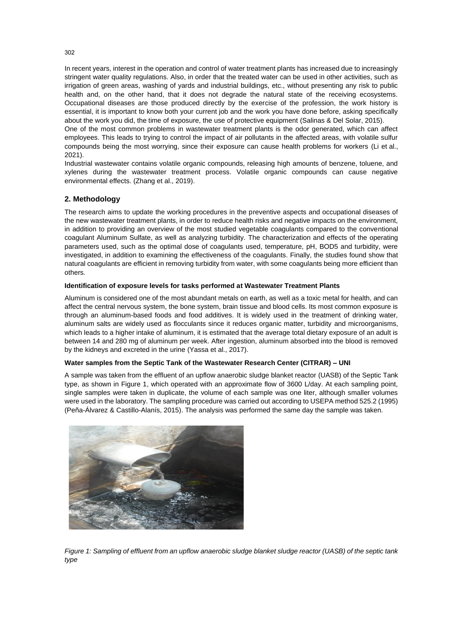In recent years, interest in the operation and control of water treatment plants has increased due to increasingly stringent water quality regulations. Also, in order that the treated water can be used in other activities, such as irrigation of green areas, washing of yards and industrial buildings, etc., without presenting any risk to public health and, on the other hand, that it does not degrade the natural state of the receiving ecosystems. Occupational diseases are those produced directly by the exercise of the profession, the work history is essential, it is important to know both your current job and the work you have done before, asking specifically about the work you did, the time of exposure, the use of protective equipment (Salinas & Del Solar, 2015).

One of the most common problems in wastewater treatment plants is the odor generated, which can affect employees. This leads to trying to control the impact of air pollutants in the affected areas, with volatile sulfur compounds being the most worrying, since their exposure can cause health problems for workers (Li et al., 2021).

Industrial wastewater contains volatile organic compounds, releasing high amounts of benzene, toluene, and xylenes during the wastewater treatment process. Volatile organic compounds can cause negative environmental effects. (Zhang et al., 2019).

# **2. Methodology**

The research aims to update the working procedures in the preventive aspects and occupational diseases of the new wastewater treatment plants, in order to reduce health risks and negative impacts on the environment, in addition to providing an overview of the most studied vegetable coagulants compared to the conventional coagulant Aluminum Sulfate, as well as analyzing turbidity. The characterization and effects of the operating parameters used, such as the optimal dose of coagulants used, temperature, pH, BOD5 and turbidity, were investigated, in addition to examining the effectiveness of the coagulants. Finally, the studies found show that natural coagulants are efficient in removing turbidity from water, with some coagulants being more efficient than others.

#### **Identification of exposure levels for tasks performed at Wastewater Treatment Plants**

Aluminum is considered one of the most abundant metals on earth, as well as a toxic metal for health, and can affect the central nervous system, the bone system, brain tissue and blood cells. Its most common exposure is through an aluminum-based foods and food additives. It is widely used in the treatment of drinking water, aluminum salts are widely used as flocculants since it reduces organic matter, turbidity and microorganisms, which leads to a higher intake of aluminum, it is estimated that the average total dietary exposure of an adult is between 14 and 280 mg of aluminum per week. After ingestion, aluminum absorbed into the blood is removed by the kidneys and excreted in the urine (Yassa et al., 2017).

#### **Water samples from the Septic Tank of the Wastewater Research Center (CITRAR) – UNI**

A sample was taken from the effluent of an upflow anaerobic sludge blanket reactor (UASB) of the Septic Tank type, as shown in Figure 1, which operated with an approximate flow of 3600 L/day. At each sampling point, single samples were taken in duplicate, the volume of each sample was one liter, although smaller volumes were used in the laboratory. The sampling procedure was carried out according to USEPA method 525.2 (1995) (Peña-Álvarez & Castillo-Alanís, 2015). The analysis was performed the same day the sample was taken.



*Figure 1: Sampling of effluent from an upflow anaerobic sludge blanket sludge reactor (UASB) of the septic tank type*

302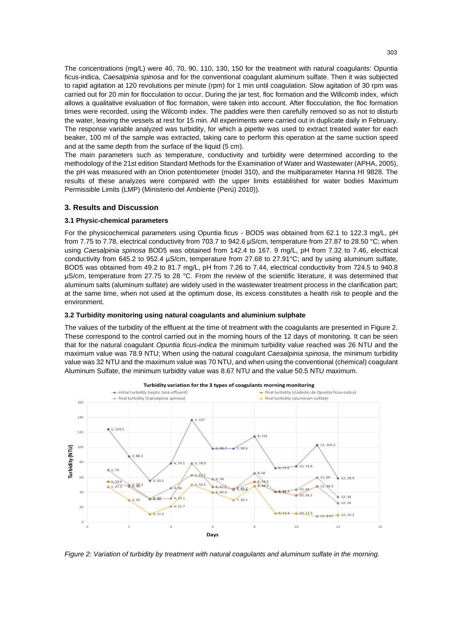The concentrations (mg/L) were 40, 70, 90, 110, 130, 150 for the treatment with natural coagulants: Opuntia ficus-indica, *Caesalpinia spinosa* and for the conventional coagulant aluminum sulfate. Then it was subjected to rapid agitation at 120 revolutions per minute (rpm) for 1 min until coagulation. Slow agitation of 30 rpm was carried out for 20 min for flocculation to occur. During the jar test, floc formation and the Willcomb index, which allows a qualitative evaluation of floc formation, were taken into account. After flocculation, the floc formation times were recorded, using the Wilcomb index. The paddles were then carefully removed so as not to disturb the water, leaving the vessels at rest for 15 min. All experiments were carried out in duplicate daily in February. The response variable analyzed was turbidity, for which a pipette was used to extract treated water for each beaker, 100 ml of the sample was extracted, taking care to perform this operation at the same suction speed and at the same depth from the surface of the liquid (5 cm).

The main parameters such as temperature, conductivity and turbidity were determined according to the methodology of the 21st edition Standard Methods for the Examination of Water and Wastewater (APHA, 2005), the pH was measured with an Orion potentiometer (model 310), and the multiparameter Hanna HI 9828. The results of these analyzes were compared with the upper limits established for water bodies Maximum Permissible Limits (LMP) (Ministerio del Ambiente (Perú) 2010)).

### **3. Results and Discussion**

#### **3.1 Physic-chemical parameters**

For the physicochemical parameters using Opuntia ficus - BOD5 was obtained from 62.1 to 122.3 mg/L, pH from 7.75 to 7.78, electrical conductivity from 703.7 to 942.6 µS/cm, temperature from 27.87 to 28.50 °C; when using *Caesalpinia spinosa* BOD5 was obtained from 142.4 to 167. 9 mg/L, pH from 7.32 to 7.46, electrical conductivity from 645.2 to 952.4 µS/cm, temperature from 27.68 to 27.91°C; and by using aluminum sulfate, BOD5 was obtained from 49.2 to 81.7 mg/L, pH from 7.26 to 7.44, electrical conductivity from 724.5 to 940.8 µS/cm, temperature from 27.75 to 28 °C. From the review of the scientific literature, it was determined that aluminum salts (aluminum sulfate) are widely used in the wastewater treatment process in the clarification part; at the same time, when not used at the optimum dose, its excess constitutes a health risk to people and the environment.

#### **3.2 Turbidity monitoring using natural coagulants and aluminium sulphate**

The values of the turbidity of the effluent at the time of treatment with the coagulants are presented in Figure 2. These correspond to the control carried out in the morning hours of the 12 days of monitoring. It can be seen that for the natural coagulant *Opuntia ficus-indica* the minimum turbidity value reached was 26 NTU and the maximum value was 78.9 NTU; When using the natural coagulant *Caesalpinia spinosa*, the minimum turbidity value was 32 NTU and the maximum value was 70 NTU, and when using the conventional (chemical) coagulant Aluminum Sulfate, the minimum turbidity value was 8.67 NTU and the value 50.5 NTU maximum.



**Turbidity variation for the 3 types of coagulants morning monitoring**

*Figure 2: Variation of turbidity by treatment with natural coagulants and aluminum sulfate in the morning.*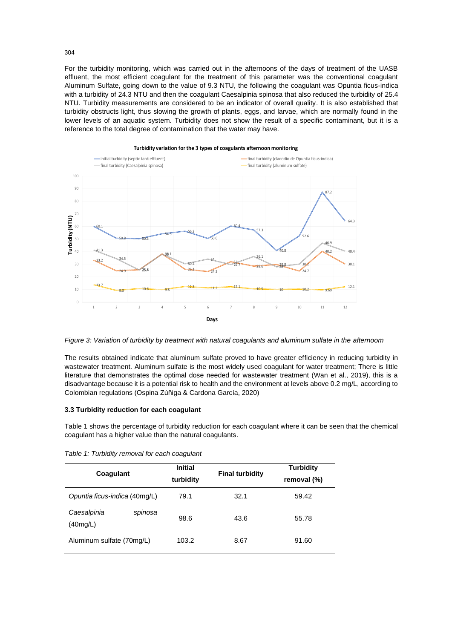For the turbidity monitoring, which was carried out in the afternoons of the days of treatment of the UASB effluent, the most efficient coagulant for the treatment of this parameter was the conventional coagulant Aluminum Sulfate, going down to the value of 9.3 NTU, the following the coagulant was Opuntia ficus-indica with a turbidity of 24.3 NTU and then the coagulant Caesalpinia spinosa that also reduced the turbidity of 25.4 NTU. Turbidity measurements are considered to be an indicator of overall quality. It is also established that turbidity obstructs light, thus slowing the growth of plants, eggs, and larvae, which are normally found in the lower levels of an aquatic system. Turbidity does not show the result of a specific contaminant, but it is a reference to the total degree of contamination that the water may have.



**Turbidity variation for the 3 types of coagulants afternoon monitoring**

*Figure 3: Variation of turbidity by treatment with natural coagulants and aluminum sulfate in the afternoom*

The results obtained indicate that aluminum sulfate proved to have greater efficiency in reducing turbidity in wastewater treatment. Aluminum sulfate is the most widely used coagulant for water treatment; There is little literature that demonstrates the optimal dose needed for wastewater treatment (Wan et al., 2019), this is a disadvantage because it is a potential risk to health and the environment at levels above 0.2 mg/L, according to Colombian regulations (Ospina Zúñiga & Cardona García, 2020)

#### **3.3 Turbidity reduction for each coagulant**

Table 1 shows the percentage of turbidity reduction for each coagulant where it can be seen that the chemical coagulant has a higher value than the natural coagulants.

| Coagulant                          | <b>Initial</b><br>turbidity | <b>Final turbidity</b> | <b>Turbidity</b><br>removal (%) |
|------------------------------------|-----------------------------|------------------------|---------------------------------|
| Opuntia ficus-indica (40mg/L)      | 79.1                        | 32.1                   | 59.42                           |
| Caesalpinia<br>spinosa<br>(40mg/L) | 98.6                        | 43.6                   | 55.78                           |
| Aluminum sulfate (70mg/L)          | 103.2                       | 8.67                   | 91.60                           |

*Table 1: Turbidity removal for each coagulant*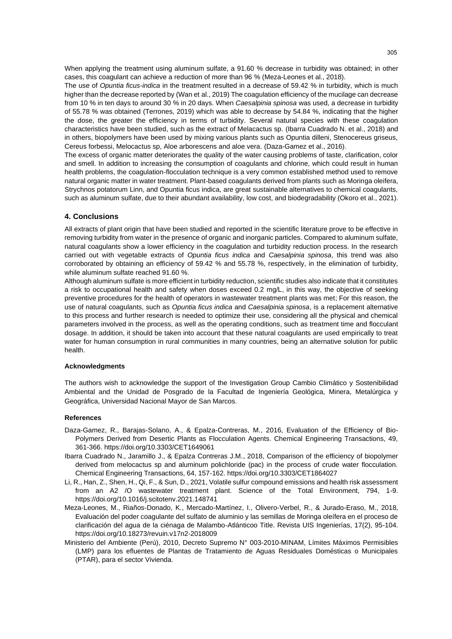When applying the treatment using aluminum sulfate, a 91.60 % decrease in turbidity was obtained; in other cases, this coagulant can achieve a reduction of more than 96 % (Meza-Leones et al., 2018).

The use of *Opuntia ficus-indica* in the treatment resulted in a decrease of 59.42 % in turbidity, which is much higher than the decrease reported by (Wan et al., 2019) The coagulation efficiency of the mucilage can decrease from 10 % in ten days to around 30 % in 20 days. When *Caesalpinia spinosa* was used, a decrease in turbidity of 55.78 % was obtained (Terrones, 2019) which was able to decrease by 54.84 %, indicating that the higher the dose, the greater the efficiency in terms of turbidity. Several natural species with these coagulation characteristics have been studied, such as the extract of Melacactus sp. (Ibarra Cuadrado N. et al., 2018) and in others, biopolymers have been used by mixing various plants such as Opuntia dilleni, Stenocereus griseus, Cereus forbessi, Melocactus sp, Aloe arborescens and aloe vera. (Daza-Gamez et al., 2016).

The excess of organic matter deteriorates the quality of the water causing problems of taste, clarification, color and smell. In addition to increasing the consumption of coagulants and chlorine, which could result in human health problems, the coagulation-flocculation technique is a very common established method used to remove natural organic matter in water treatment. Plant-based coagulants derived from plants such as Moringa oleifera, Strychnos potatorum Linn, and Opuntia ficus indica, are great sustainable alternatives to chemical coagulants, such as aluminum sulfate, due to their abundant availability, low cost, and biodegradability (Okoro et al., 2021).

#### **4. Conclusions**

All extracts of plant origin that have been studied and reported in the scientific literature prove to be effective in removing turbidity from water in the presence of organic and inorganic particles. Compared to aluminum sulfate, natural coagulants show a lower efficiency in the coagulation and turbidity reduction process. In the research carried out with vegetable extracts of *Opuntia ficus indica* and *Caesalpinia spinosa*, this trend was also corroborated by obtaining an efficiency of 59.42 % and 55.78 %, respectively, in the elimination of turbidity, while aluminum sulfate reached 91.60 %.

Although aluminum sulfate is more efficient in turbidity reduction, scientific studies also indicate that it constitutes a risk to occupational health and safety when doses exceed 0.2 mg/L, in this way, the objective of seeking preventive procedures for the health of operators in wastewater treatment plants was met; For this reason, the use of natural coagulants, such as *Opuntia ficus indica* and *Caesalpinia spinosa*, is a replacement alternative to this process and further research is needed to optimize their use, considering all the physical and chemical parameters involved in the process, as well as the operating conditions, such as treatment time and flocculant dosage. In addition, it should be taken into account that these natural coagulants are used empirically to treat water for human consumption in rural communities in many countries, being an alternative solution for public health.

#### **Acknowledgments**

The authors wish to acknowledge the support of the Investigation Group Cambio Climático y Sostenibilidad Ambiental and the Unidad de Posgrado de la Facultad de Ingeniería Geológica, Minera, Metalúrgica y Geográfica, Universidad Nacional Mayor de San Marcos.

#### **References**

- Daza-Gamez, R., Barajas-Solano, A., & Epalza-Contreras, M., 2016, Evaluation of the Efficiency of Bio-Polymers Derived from Desertic Plants as Flocculation Agents. Chemical Engineering Transactions, 49, 361-366. https://doi.org/10.3303/CET1649061
- Ibarra Cuadrado N., Jaramillo J., & Epalza Contreras J.M., 2018, Comparison of the efficiency of biopolymer derived from melocactus sp and aluminum polichloride (pac) in the process of crude water flocculation. Chemical Engineering Transactions, 64, 157-162. https://doi.org/10.3303/CET1864027
- Li, R., Han, Z., Shen, H., Qi, F., & Sun, D., 2021, Volatile sulfur compound emissions and health risk assessment from an A2 /O wastewater treatment plant. Science of the Total Environment, 794, 1-9. https://doi.org/10.1016/j.scitotenv.2021.148741
- Meza-Leones, M., Riaños-Donado, K., Mercado-Martínez, I., Olivero-Verbel, R., & Jurado-Eraso, M., 2018, Evaluación del poder coagulante del sulfato de aluminio y las semillas de Moringa oleífera en el proceso de clarificación del agua de la ciénaga de Malambo-Atlánticoo Title. Revista UIS Ingenierías, 17(2), 95-104. https://doi.org/10.18273/revuin.v17n2-2018009
- Ministerio del Ambiente (Perú), 2010, Decreto Supremo N° 003-2010-MINAM, Límites Máximos Permisibles (LMP) para los efluentes de Plantas de Tratamiento de Aguas Residuales Domésticas o Municipales (PTAR), para el sector Vivienda.